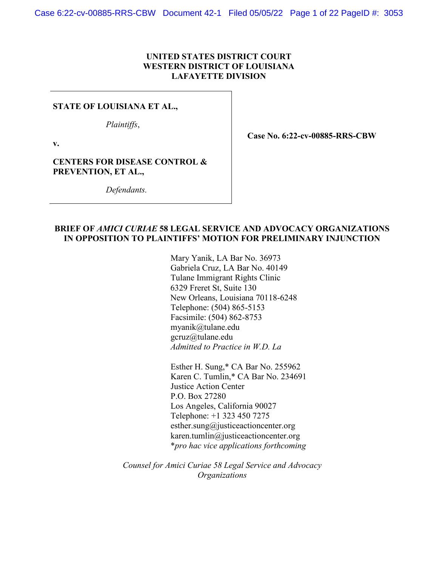### **UNITED STATES DISTRICT COURT WESTERN DISTRICT OF LOUISIANA LAFAYETTE DIVISION**

#### **STATE OF LOUISIANA ET AL.,**

*Plaintiffs*,

**v.**

**Case No. 6:22-cv-00885-RRS-CBW**

**CENTERS FOR DISEASE CONTROL & PREVENTION, ET AL.,**

*Defendants.*

### **BRIEF OF** *AMICI CURIAE* **58 LEGAL SERVICE AND ADVOCACY ORGANIZATIONS IN OPPOSITION TO PLAINTIFFS' MOTION FOR PRELIMINARY INJUNCTION**

Mary Yanik, LA Bar No. 36973 Gabriela Cruz, LA Bar No. 40149 Tulane Immigrant Rights Clinic 6329 Freret St, Suite 130 New Orleans, Louisiana 70118-6248 Telephone: (504) 865-5153 Facsimile: (504) 862-8753 myanik@tulane.edu gcruz@tulane.edu *Admitted to Practice in W.D. La*

Esther H. Sung,\* CA Bar No. 255962 Karen C. Tumlin,\* CA Bar No. 234691 Justice Action Center P.O. Box 27280 Los Angeles, California 90027 Telephone: +1 323 450 7275 esther.sung@justiceactioncenter.org karen.tumlin@justiceactioncenter.org \**pro hac vice applications forthcoming*

*Counsel for Amici Curiae 58 Legal Service and Advocacy Organizations*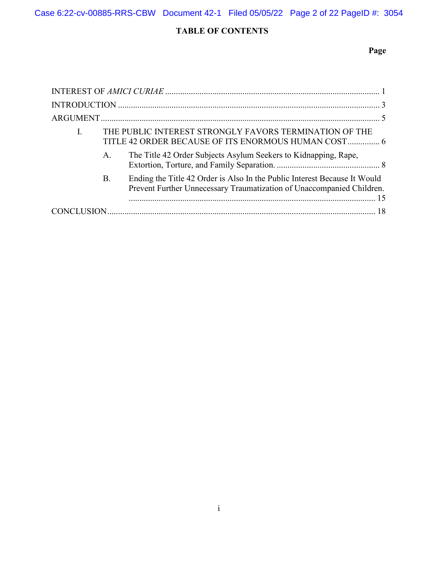Case 6:22-cv-00885-RRS-CBW Document 42-1 Filed 05/05/22 Page 2 of 22 PageID #: 3054

# **TABLE OF CONTENTS**

# **Page**

| I. |    | THE PUBLIC INTEREST STRONGLY FAVORS TERMINATION OF THE<br>TITLE 42 ORDER BECAUSE OF ITS ENORMOUS HUMAN COST 6                                      |  |  |
|----|----|----------------------------------------------------------------------------------------------------------------------------------------------------|--|--|
|    | A. | The Title 42 Order Subjects Asylum Seekers to Kidnapping, Rape,                                                                                    |  |  |
|    | Β. | Ending the Title 42 Order is Also In the Public Interest Because It Would<br>Prevent Further Unnecessary Traumatization of Unaccompanied Children. |  |  |
|    |    |                                                                                                                                                    |  |  |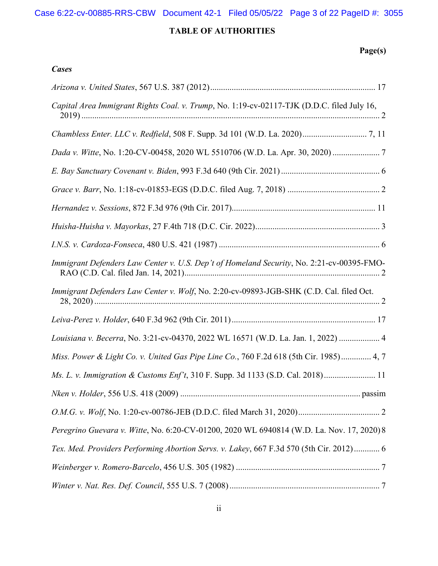# **TABLE OF AUTHORITIES**

*Cases*

# **Page(s)**

| Capital Area Immigrant Rights Coal. v. Trump, No. 1:19-cv-02117-TJK (D.D.C. filed July 16, |
|--------------------------------------------------------------------------------------------|
|                                                                                            |
|                                                                                            |
|                                                                                            |
|                                                                                            |
|                                                                                            |
|                                                                                            |
|                                                                                            |
| Immigrant Defenders Law Center v. U.S. Dep't of Homeland Security, No. 2:21-cv-00395-FMO-  |
| Immigrant Defenders Law Center v. Wolf, No. 2:20-cv-09893-JGB-SHK (C.D. Cal. filed Oct.    |
|                                                                                            |
| Louisiana v. Becerra, No. 3:21-cv-04370, 2022 WL 16571 (W.D. La. Jan. 1, 2022)  4          |
| Miss. Power & Light Co. v. United Gas Pipe Line Co., 760 F.2d 618 (5th Cir. 1985) 4, 7     |
| Ms. L. v. Immigration & Customs Enf't, 310 F. Supp. 3d 1133 (S.D. Cal. 2018) 11            |
|                                                                                            |
|                                                                                            |
| Peregrino Guevara v. Witte, No. 6:20-CV-01200, 2020 WL 6940814 (W.D. La. Nov. 17, 2020) 8  |
| Tex. Med. Providers Performing Abortion Servs. v. Lakey, 667 F.3d 570 (5th Cir. 2012) 6    |
|                                                                                            |
|                                                                                            |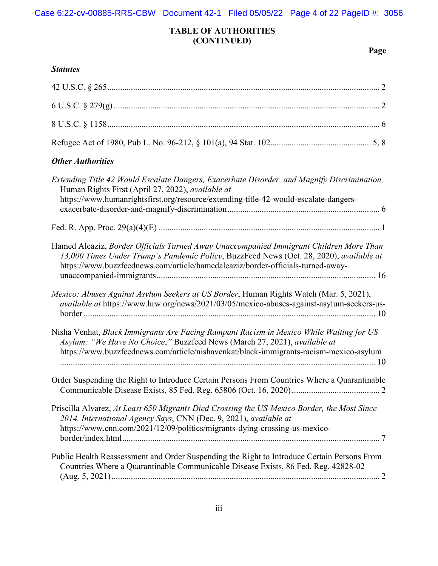# **TABLE OF AUTHORITIES (CONTINUED)**

# **Page**

| <b>Statutes</b>                                                                                                                                                                                                                                                      |
|----------------------------------------------------------------------------------------------------------------------------------------------------------------------------------------------------------------------------------------------------------------------|
|                                                                                                                                                                                                                                                                      |
|                                                                                                                                                                                                                                                                      |
|                                                                                                                                                                                                                                                                      |
|                                                                                                                                                                                                                                                                      |
| <b>Other Authorities</b>                                                                                                                                                                                                                                             |
| Extending Title 42 Would Escalate Dangers, Exacerbate Disorder, and Magnify Discrimination,<br>Human Rights First (April 27, 2022), available at<br>https://www.humanrightsfirst.org/resource/extending-title-42-would-escalate-dangers-                             |
|                                                                                                                                                                                                                                                                      |
| Hamed Aleaziz, Border Officials Turned Away Unaccompanied Immigrant Children More Than<br>13,000 Times Under Trump's Pandemic Policy, BuzzFeed News (Oct. 28, 2020), available at<br>https://www.buzzfeednews.com/article/hamedaleaziz/border-officials-turned-away- |
| Mexico: Abuses Against Asylum Seekers at US Border, Human Rights Watch (Mar. 5, 2021),<br>available at https://www.hrw.org/news/2021/03/05/mexico-abuses-against-asylum-seekers-us-                                                                                  |
| Nisha Venhat, Black Immigrants Are Facing Rampant Racism in Mexico While Waiting for US<br>Asylum: "We Have No Choice," Buzzfeed News (March 27, 2021), available at<br>https://www.buzzfeednews.com/article/nishavenkat/black-immigrants-racism-mexico-asylum       |
| Order Suspending the Right to Introduce Certain Persons From Countries Where a Quarantinable                                                                                                                                                                         |
| Priscilla Alvarez, At Least 650 Migrants Died Crossing the US-Mexico Border, the Most Since<br>2014, International Agency Says, CNN (Dec. 9, 2021), available at<br>https://www.cnn.com/2021/12/09/politics/migrants-dying-crossing-us-mexico-                       |
| Public Health Reassessment and Order Suspending the Right to Introduce Certain Persons From<br>Countries Where a Quarantinable Communicable Disease Exists, 86 Fed. Reg. 42828-02                                                                                    |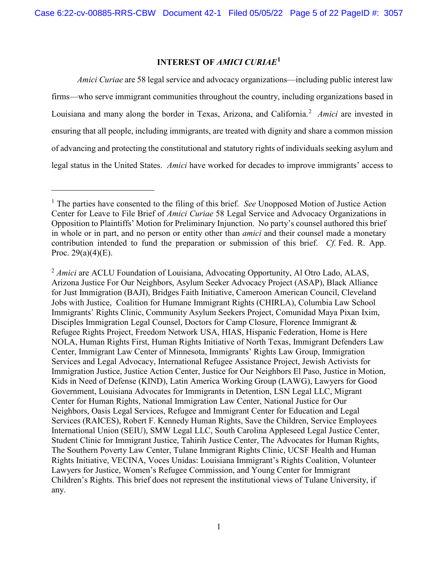## **INTEREST OF** *AMICI CURIAE***[1](#page-4-1)**

<span id="page-4-0"></span>*Amici Curiae* are 58 legal service and advocacy organizations—including public interest law firms—who serve immigrant communities throughout the country, including organizations based in Louisiana and many along the border in Texas, Arizona, and California. [2](#page-4-2) *Amici* are invested in ensuring that all people, including immigrants, are treated with dignity and share a common mission of advancing and protecting the constitutional and statutory rights of individuals seeking asylum and legal status in the United States. *Amici* have worked for decades to improve immigrants' access to

 $\overline{a}$ 

<span id="page-4-1"></span><sup>&</sup>lt;sup>1</sup> The parties have consented to the filing of this brief. *See* Unopposed Motion of Justice Action Center for Leave to File Brief of *Amici Curiae* 58 Legal Service and Advocacy Organizations in Opposition to Plaintiffs' Motion for Preliminary Injunction. No party's counsel authored this brief in whole or in part, and no person or entity other than *amici* and their counsel made a monetary contribution intended to fund the preparation or submission of this brief. *Cf.* Fed. R. App. Proc.  $29(a)(4)(E)$ .

<span id="page-4-2"></span><sup>2</sup> *Amici* are ACLU Foundation of Louisiana, Advocating Opportunity, Al Otro Lado, ALAS, Arizona Justice For Our Neighbors, Asylum Seeker Advocacy Project (ASAP), Black Alliance for Just Immigration (BAJI), Bridges Faith Initiative, Cameroon American Council, Cleveland Jobs with Justice, Coalition for Humane Immigrant Rights (CHIRLA), Columbia Law School Immigrants' Rights Clinic, Community Asylum Seekers Project, Comunidad Maya Pixan Ixim, Disciples Immigration Legal Counsel, Doctors for Camp Closure, Florence Immigrant & Refugee Rights Project, Freedom Network USA, HIAS, Hispanic Federation, Home is Here NOLA, Human Rights First, Human Rights Initiative of North Texas, Immigrant Defenders Law Center, Immigrant Law Center of Minnesota, Immigrants' Rights Law Group, Immigration Services and Legal Advocacy, International Refugee Assistance Project, Jewish Activists for Immigration Justice, Justice Action Center, Justice for Our Neighbors El Paso, Justice in Motion, Kids in Need of Defense (KIND), Latin America Working Group (LAWG), Lawyers for Good Government, Louisiana Advocates for Immigrants in Detention, LSN Legal LLC, Migrant Center for Human Rights, National Immigration Law Center, National Justice for Our Neighbors, Oasis Legal Services, Refugee and Immigrant Center for Education and Legal Services (RAICES), Robert F. Kennedy Human Rights, Save the Children, Service Employees International Union (SEIU), SMW Legal LLC, South Carolina Appleseed Legal Justice Center, Student Clinic for Immigrant Justice, Tahirih Justice Center, The Advocates for Human Rights, The Southern Poverty Law Center, Tulane Immigrant Rights Clinic, UCSF Health and Human Rights Initiative, VECINA, Voces Unidas: Louisiana Immigrant's Rights Coalition, Volunteer Lawyers for Justice, Women's Refugee Commission, and Young Center for Immigrant Children's Rights. This brief does not represent the institutional views of Tulane University, if any.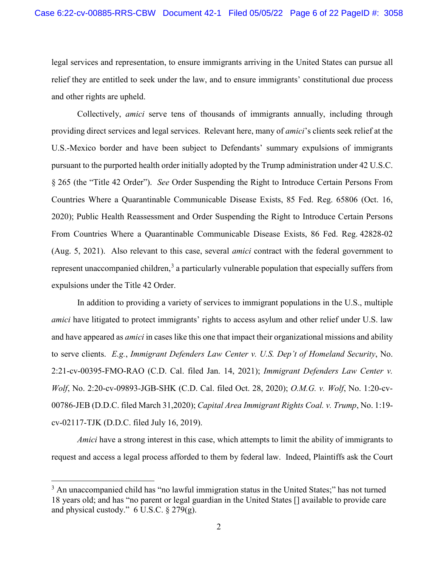legal services and representation, to ensure immigrants arriving in the United States can pursue all relief they are entitled to seek under the law, and to ensure immigrants' constitutional due process and other rights are upheld.

Collectively, *amici* serve tens of thousands of immigrants annually, including through providing direct services and legal services. Relevant here, many of *amici*'s clients seek relief at the U.S.-Mexico border and have been subject to Defendants' summary expulsions of immigrants pursuant to the purported health order initially adopted by the Trump administration under 42 U.S.C. § 265 (the "Title 42 Order"). *See* Order Suspending the Right to Introduce Certain Persons From Countries Where a Quarantinable Communicable Disease Exists, 85 Fed. Reg. 65806 (Oct. 16, 2020); Public Health Reassessment and Order Suspending the Right to Introduce Certain Persons From Countries Where a Quarantinable Communicable Disease Exists, 86 Fed. Reg. 42828-02 (Aug. 5, 2021). Also relevant to this case, several *amici* contract with the federal government to represent unaccompanied children, $3$  a particularly vulnerable population that especially suffers from expulsions under the Title 42 Order.

In addition to providing a variety of services to immigrant populations in the U.S., multiple *amici* have litigated to protect immigrants' rights to access asylum and other relief under U.S. law and have appeared as *amici* in cases like this one that impact their organizational missions and ability to serve clients. *E.g.*, *Immigrant Defenders Law Center v. U.S. Dep't of Homeland Security*, No. 2:21-cv-00395-FMO-RAO (C.D. Cal. filed Jan. 14, 2021); *Immigrant Defenders Law Center v. Wolf*, No. 2:20-cv-09893-JGB-SHK (C.D. Cal. filed Oct. 28, 2020); *O.M.G. v. Wolf*, No. 1:20-cv-00786-JEB (D.D.C. filed March 31,2020); *Capital Area Immigrant Rights Coal. v. Trump*, No. 1:19 cv-02117-TJK (D.D.C. filed July 16, 2019).

*Amici* have a strong interest in this case, which attempts to limit the ability of immigrants to request and access a legal process afforded to them by federal law. Indeed, Plaintiffs ask the Court

<span id="page-5-0"></span> $3$  An unaccompanied child has "no lawful immigration status in the United States;" has not turned 18 years old; and has "no parent or legal guardian in the United States [] available to provide care and physical custody."  $6$  U.S.C.  $\S$  279(g).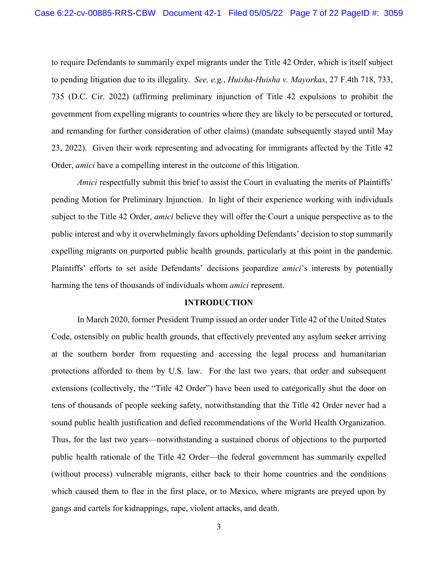to require Defendants to summarily expel migrants under the Title 42 Order, which is itself subject to pending litigation due to its illegality. *See, e.g.*, *Huisha-Huisha v. Mayorkas*, 27 F.4th 718, 733, 735 (D.C. Cir. 2022) (affirming preliminary injunction of Title 42 expulsions to prohibit the government from expelling migrants to countries where they are likely to be persecuted or tortured, and remanding for further consideration of other claims) (mandate subsequently stayed until May 23, 2022). Given their work representing and advocating for immigrants affected by the Title 42 Order, *amici* have a compelling interest in the outcome of this litigation.

*Amici* respectfully submit this brief to assist the Court in evaluating the merits of Plaintiffs' pending Motion for Preliminary Injunction. In light of their experience working with individuals subject to the Title 42 Order, *amici* believe they will offer the Court a unique perspective as to the public interest and why it overwhelmingly favors upholding Defendants' decision to stop summarily expelling migrants on purported public health grounds, particularly at this point in the pandemic. Plaintiffs' efforts to set aside Defendants' decisions jeopardize *amici*'s interests by potentially harming the tens of thousands of individuals whom *amici* represent.

#### **INTRODUCTION**

<span id="page-6-0"></span>In March 2020, former President Trump issued an order under Title 42 of the United States Code, ostensibly on public health grounds, that effectively prevented any asylum seeker arriving at the southern border from requesting and accessing the legal process and humanitarian protections afforded to them by U.S. law. For the last two years, that order and subsequent extensions (collectively, the "Title 42 Order") have been used to categorically shut the door on tens of thousands of people seeking safety, notwithstanding that the Title 42 Order never had a sound public health justification and defied recommendations of the World Health Organization. Thus, for the last two years—notwithstanding a sustained chorus of objections to the purported public health rationale of the Title 42 Order—the federal government has summarily expelled (without process) vulnerable migrants, either back to their home countries and the conditions which caused them to flee in the first place, or to Mexico, where migrants are preyed upon by gangs and cartels for kidnappings, rape, violent attacks, and death.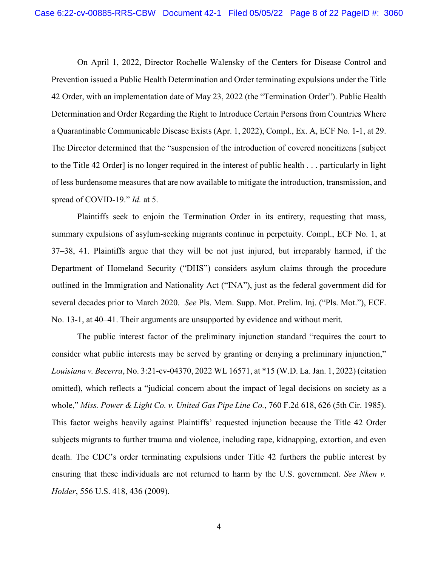On April 1, 2022, Director Rochelle Walensky of the Centers for Disease Control and Prevention issued a Public Health Determination and Order terminating expulsions under the Title 42 Order, with an implementation date of May 23, 2022 (the "Termination Order"). Public Health Determination and Order Regarding the Right to Introduce Certain Persons from Countries Where a Quarantinable Communicable Disease Exists (Apr. 1, 2022), Compl., Ex. A, ECF No. 1-1, at 29. The Director determined that the "suspension of the introduction of covered noncitizens [subject to the Title 42 Order] is no longer required in the interest of public health . . . particularly in light of less burdensome measures that are now available to mitigate the introduction, transmission, and spread of COVID-19." *Id.* at 5.

Plaintiffs seek to enjoin the Termination Order in its entirety, requesting that mass, summary expulsions of asylum-seeking migrants continue in perpetuity. Compl., ECF No. 1, at 37–38, 41. Plaintiffs argue that they will be not just injured, but irreparably harmed, if the Department of Homeland Security ("DHS") considers asylum claims through the procedure outlined in the Immigration and Nationality Act ("INA"), just as the federal government did for several decades prior to March 2020. *See* Pls. Mem. Supp. Mot. Prelim. Inj. ("Pls. Mot."), ECF. No. 13-1, at 40–41. Their arguments are unsupported by evidence and without merit.

The public interest factor of the preliminary injunction standard "requires the court to consider what public interests may be served by granting or denying a preliminary injunction," *Louisiana v. Becerra*, No. 3:21-cv-04370, 2022 WL 16571, at \*15 (W.D. La. Jan. 1, 2022) (citation omitted), which reflects a "judicial concern about the impact of legal decisions on society as a whole," *Miss. Power & Light Co. v. United Gas Pipe Line Co.*, 760 F.2d 618, 626 (5th Cir. 1985). This factor weighs heavily against Plaintiffs' requested injunction because the Title 42 Order subjects migrants to further trauma and violence, including rape, kidnapping, extortion, and even death. The CDC's order terminating expulsions under Title 42 furthers the public interest by ensuring that these individuals are not returned to harm by the U.S. government. *See Nken v. Holder*, 556 U.S. 418, 436 (2009).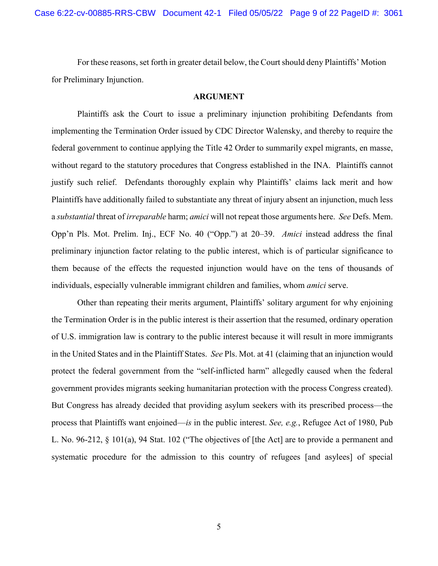For these reasons, set forth in greater detail below, the Court should deny Plaintiffs' Motion for Preliminary Injunction.

#### **ARGUMENT**

<span id="page-8-0"></span>Plaintiffs ask the Court to issue a preliminary injunction prohibiting Defendants from implementing the Termination Order issued by CDC Director Walensky, and thereby to require the federal government to continue applying the Title 42 Order to summarily expel migrants, en masse, without regard to the statutory procedures that Congress established in the INA. Plaintiffs cannot justify such relief. Defendants thoroughly explain why Plaintiffs' claims lack merit and how Plaintiffs have additionally failed to substantiate any threat of injury absent an injunction, much less a *substantial* threat of *irreparable* harm; *amici* will not repeat those arguments here. *See* Defs. Mem. Opp'n Pls. Mot. Prelim. Inj., ECF No. 40 ("Opp.") at 20–39. *Amici* instead address the final preliminary injunction factor relating to the public interest, which is of particular significance to them because of the effects the requested injunction would have on the tens of thousands of individuals, especially vulnerable immigrant children and families, whom *amici* serve.

Other than repeating their merits argument, Plaintiffs' solitary argument for why enjoining the Termination Order is in the public interest is their assertion that the resumed, ordinary operation of U.S. immigration law is contrary to the public interest because it will result in more immigrants in the United States and in the Plaintiff States. *See* Pls. Mot. at 41 (claiming that an injunction would protect the federal government from the "self-inflicted harm" allegedly caused when the federal government provides migrants seeking humanitarian protection with the process Congress created). But Congress has already decided that providing asylum seekers with its prescribed process—the process that Plaintiffs want enjoined—*is* in the public interest. *See, e.g.*, Refugee Act of 1980, Pub L. No. 96-212, § 101(a), 94 Stat. 102 ("The objectives of [the Act] are to provide a permanent and systematic procedure for the admission to this country of refugees [and asylees] of special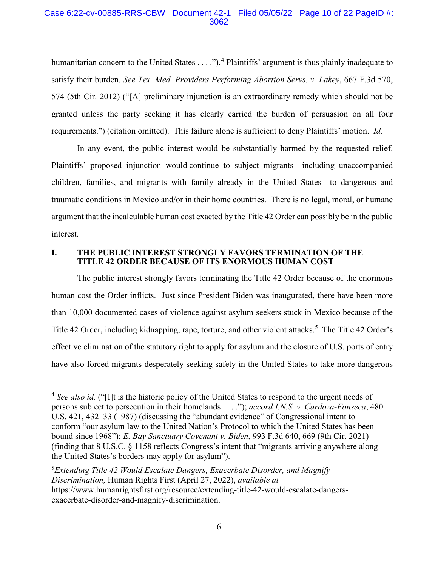### Case 6:22-cv-00885-RRS-CBW Document 42-1 Filed 05/05/22 Page 10 of 22 PageID #: 3062

humanitarian concern to the United States  $\dots$ .").<sup>[4](#page-9-1)</sup> Plaintiffs' argument is thus plainly inadequate to satisfy their burden. *See Tex. Med. Providers Performing Abortion Servs. v. Lakey*, 667 F.3d 570, 574 (5th Cir. 2012) ("[A] preliminary injunction is an extraordinary remedy which should not be granted unless the party seeking it has clearly carried the burden of persuasion on all four requirements.") (citation omitted). This failure alone is sufficient to deny Plaintiffs' motion. *Id.*

In any event, the public interest would be substantially harmed by the requested relief. Plaintiffs' proposed injunction would continue to subject migrants—including unaccompanied children, families, and migrants with family already in the United States—to dangerous and traumatic conditions in Mexico and/or in their home countries. There is no legal, moral, or humane argument that the incalculable human cost exacted by the Title 42 Order can possibly be in the public interest.

#### <span id="page-9-0"></span>**I. THE PUBLIC INTEREST STRONGLY FAVORS TERMINATION OF THE TITLE 42 ORDER BECAUSE OF ITS ENORMOUS HUMAN COST**

The public interest strongly favors terminating the Title 42 Order because of the enormous human cost the Order inflicts. Just since President Biden was inaugurated, there have been more than 10,000 documented cases of violence against asylum seekers stuck in Mexico because of the Title 42 Order, including kidnapping, rape, torture, and other violent attacks.<sup>[5](#page-9-2)</sup> The Title 42 Order's effective elimination of the statutory right to apply for asylum and the closure of U.S. ports of entry have also forced migrants desperately seeking safety in the United States to take more dangerous

<span id="page-9-1"></span><sup>&</sup>lt;sup>4</sup> See also id. ("IIt is the historic policy of the United States to respond to the urgent needs of persons subject to persecution in their homelands . . . ."); *accord I.N.S. v. Cardoza-Fonseca*, 480 U.S. 421, 432–33 (1987) (discussing the "abundant evidence" of Congressional intent to conform "our asylum law to the United Nation's Protocol to which the United States has been bound since 1968"); *E. Bay Sanctuary Covenant v. Biden*, 993 F.3d 640, 669 (9th Cir. 2021) (finding that 8 U.S.C. § 1158 reflects Congress's intent that "migrants arriving anywhere along the United States's borders may apply for asylum").

<span id="page-9-2"></span><sup>5</sup> *Extending Title 42 Would Escalate Dangers, Exacerbate Disorder, and Magnify Discrimination,* Human Rights First (April 27, 2022), *available at* https://www.humanrightsfirst.org/resource/extending-title-42-would-escalate-dangersexacerbate-disorder-and-magnify-discrimination.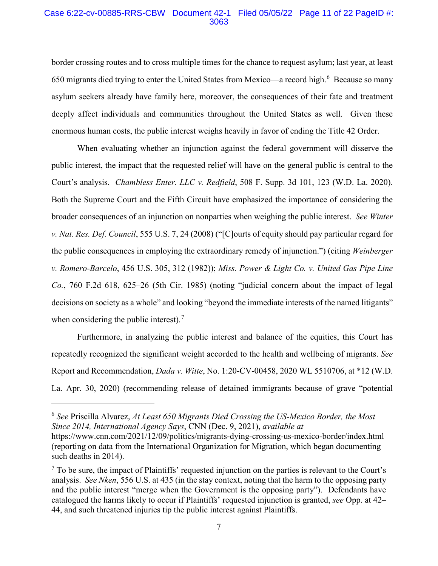### Case 6:22-cv-00885-RRS-CBW Document 42-1 Filed 05/05/22 Page 11 of 22 PageID #: 3063

border crossing routes and to cross multiple times for the chance to request asylum; last year, at least [6](#page-10-0)50 migrants died trying to enter the United States from Mexico—a record high.<sup>6</sup> Because so many asylum seekers already have family here, moreover, the consequences of their fate and treatment deeply affect individuals and communities throughout the United States as well. Given these enormous human costs, the public interest weighs heavily in favor of ending the Title 42 Order.

When evaluating whether an injunction against the federal government will disserve the public interest, the impact that the requested relief will have on the general public is central to the Court's analysis. *Chambless Enter. LLC v. Redfield*, 508 F. Supp. 3d 101, 123 (W.D. La. 2020). Both the Supreme Court and the Fifth Circuit have emphasized the importance of considering the broader consequences of an injunction on nonparties when weighing the public interest. *See Winter v. Nat. Res. Def. Council*, 555 U.S. 7, 24 (2008) ("[C]ourts of equity should pay particular regard for the public consequences in employing the extraordinary remedy of injunction.") (citing *Weinberger v. Romero-Barcelo*, 456 U.S. 305, 312 (1982)); *Miss. Power & Light Co. v. United Gas Pipe Line Co.*, 760 F.2d 618, 625–26 (5th Cir. 1985) (noting "judicial concern about the impact of legal decisions on society as a whole" and looking "beyond the immediate interests of the named litigants" when considering the public interest). $<sup>7</sup>$  $<sup>7</sup>$  $<sup>7</sup>$ </sup>

Furthermore, in analyzing the public interest and balance of the equities, this Court has repeatedly recognized the significant weight accorded to the health and wellbeing of migrants. *See* Report and Recommendation, *Dada v. Witte*, No. 1:20-CV-00458, 2020 WL 5510706, at \*12 (W.D. La. Apr. 30, 2020) (recommending release of detained immigrants because of grave "potential

 $\overline{a}$ 

<span id="page-10-0"></span><sup>6</sup> *See* Priscilla Alvarez, *At Least 650 Migrants Died Crossing the US-Mexico Border, the Most Since 2014, International Agency Says*, CNN (Dec. 9, 2021), *available at*

https://www.cnn.com/2021/12/09/politics/migrants-dying-crossing-us-mexico-border/index.html (reporting on data from the International Organization for Migration, which began documenting such deaths in 2014).

<span id="page-10-1"></span> $<sup>7</sup>$  To be sure, the impact of Plaintiffs' requested injunction on the parties is relevant to the Court's</sup> analysis. *See Nken*, 556 U.S. at 435 (in the stay context, noting that the harm to the opposing party and the public interest "merge when the Government is the opposing party"). Defendants have catalogued the harms likely to occur if Plaintiffs' requested injunction is granted, *see* Opp. at 42– 44, and such threatened injuries tip the public interest against Plaintiffs.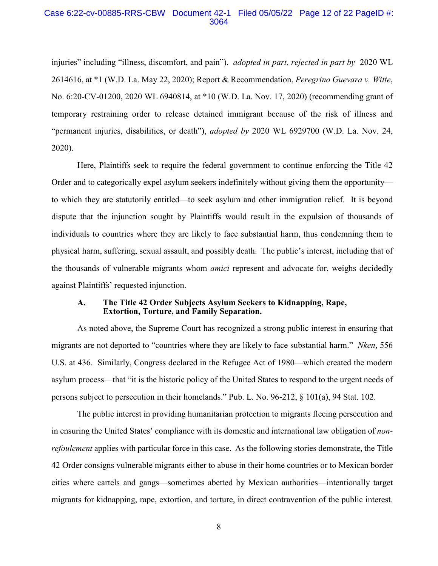#### Case 6:22-cv-00885-RRS-CBW Document 42-1 Filed 05/05/22 Page 12 of 22 PageID #: 3064

injuries" including "illness, discomfort, and pain"), *adopted in part, rejected in part by* 2020 WL 2614616, at \*1 (W.D. La. May 22, 2020); Report & Recommendation, *Peregrino Guevara v. Witte*, No. 6:20-CV-01200, 2020 WL 6940814, at \*10 (W.D. La. Nov. 17, 2020) (recommending grant of temporary restraining order to release detained immigrant because of the risk of illness and "permanent injuries, disabilities, or death"), *adopted by* 2020 WL 6929700 (W.D. La. Nov. 24, 2020).

Here, Plaintiffs seek to require the federal government to continue enforcing the Title 42 Order and to categorically expel asylum seekers indefinitely without giving them the opportunity to which they are statutorily entitled—to seek asylum and other immigration relief. It is beyond dispute that the injunction sought by Plaintiffs would result in the expulsion of thousands of individuals to countries where they are likely to face substantial harm, thus condemning them to physical harm, suffering, sexual assault, and possibly death. The public's interest, including that of the thousands of vulnerable migrants whom *amici* represent and advocate for, weighs decidedly against Plaintiffs' requested injunction.

#### <span id="page-11-0"></span>**A. The Title 42 Order Subjects Asylum Seekers to Kidnapping, Rape, Extortion, Torture, and Family Separation.**

As noted above, the Supreme Court has recognized a strong public interest in ensuring that migrants are not deported to "countries where they are likely to face substantial harm." *Nken*, 556 U.S. at 436. Similarly, Congress declared in the Refugee Act of 1980—which created the modern asylum process—that "it is the historic policy of the United States to respond to the urgent needs of persons subject to persecution in their homelands." Pub. L. No. 96-212, § 101(a), 94 Stat. 102.

The public interest in providing humanitarian protection to migrants fleeing persecution and in ensuring the United States' compliance with its domestic and international law obligation of *nonrefoulement* applies with particular force in this case. As the following stories demonstrate, the Title 42 Order consigns vulnerable migrants either to abuse in their home countries or to Mexican border cities where cartels and gangs—sometimes abetted by Mexican authorities—intentionally target migrants for kidnapping, rape, extortion, and torture, in direct contravention of the public interest.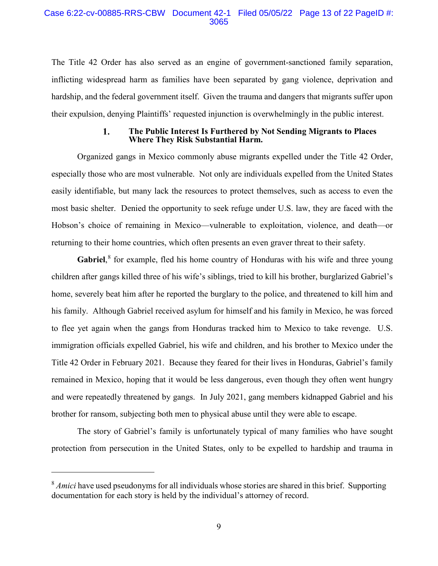### Case 6:22-cv-00885-RRS-CBW Document 42-1 Filed 05/05/22 Page 13 of 22 PageID #: 3065

The Title 42 Order has also served as an engine of government-sanctioned family separation, inflicting widespread harm as families have been separated by gang violence, deprivation and hardship, and the federal government itself. Given the trauma and dangers that migrants suffer upon their expulsion, denying Plaintiffs' requested injunction is overwhelmingly in the public interest.

#### **The Public Interest Is Furthered by Not Sending Migrants to Places**  1. **Where They Risk Substantial Harm.**

Organized gangs in Mexico commonly abuse migrants expelled under the Title 42 Order, especially those who are most vulnerable. Not only are individuals expelled from the United States easily identifiable, but many lack the resources to protect themselves, such as access to even the most basic shelter. Denied the opportunity to seek refuge under U.S. law, they are faced with the Hobson's choice of remaining in Mexico—vulnerable to exploitation, violence, and death—or returning to their home countries, which often presents an even graver threat to their safety.

Gabriel,<sup>[8](#page-12-0)</sup> for example, fled his home country of Honduras with his wife and three young children after gangs killed three of his wife's siblings, tried to kill his brother, burglarized Gabriel's home, severely beat him after he reported the burglary to the police, and threatened to kill him and his family. Although Gabriel received asylum for himself and his family in Mexico, he was forced to flee yet again when the gangs from Honduras tracked him to Mexico to take revenge. U.S. immigration officials expelled Gabriel, his wife and children, and his brother to Mexico under the Title 42 Order in February 2021. Because they feared for their lives in Honduras, Gabriel's family remained in Mexico, hoping that it would be less dangerous, even though they often went hungry and were repeatedly threatened by gangs. In July 2021, gang members kidnapped Gabriel and his brother for ransom, subjecting both men to physical abuse until they were able to escape.

The story of Gabriel's family is unfortunately typical of many families who have sought protection from persecution in the United States, only to be expelled to hardship and trauma in

 $\overline{a}$ 

<span id="page-12-0"></span><sup>8</sup> *Amici* have used pseudonyms for all individuals whose stories are shared in this brief. Supporting documentation for each story is held by the individual's attorney of record.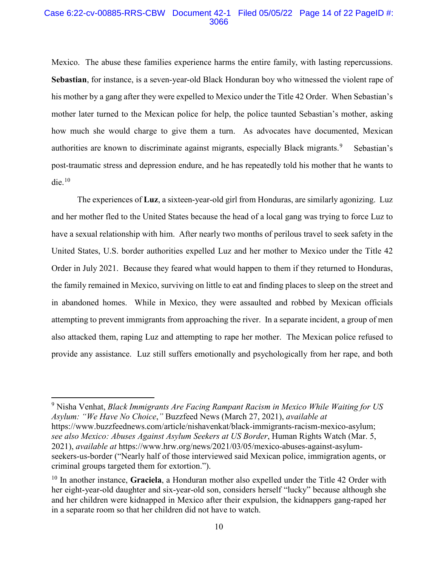#### Case 6:22-cv-00885-RRS-CBW Document 42-1 Filed 05/05/22 Page 14 of 22 PageID #: 3066

Mexico. The abuse these families experience harms the entire family, with lasting repercussions. **Sebastian**, for instance, is a seven-year-old Black Honduran boy who witnessed the violent rape of his mother by a gang after they were expelled to Mexico under the Title 42 Order. When Sebastian's mother later turned to the Mexican police for help, the police taunted Sebastian's mother, asking how much she would charge to give them a turn. As advocates have documented, Mexican authorities are known to discriminate against migrants, especially Black migrants.<sup>[9](#page-13-0)</sup> Sebastian's post-traumatic stress and depression endure, and he has repeatedly told his mother that he wants to die. $10$ 

The experiences of **Luz**, a sixteen-year-old girl from Honduras, are similarly agonizing. Luz and her mother fled to the United States because the head of a local gang was trying to force Luz to have a sexual relationship with him. After nearly two months of perilous travel to seek safety in the United States, U.S. border authorities expelled Luz and her mother to Mexico under the Title 42 Order in July 2021. Because they feared what would happen to them if they returned to Honduras, the family remained in Mexico, surviving on little to eat and finding places to sleep on the street and in abandoned homes. While in Mexico, they were assaulted and robbed by Mexican officials attempting to prevent immigrants from approaching the river. In a separate incident, a group of men also attacked them, raping Luz and attempting to rape her mother. The Mexican police refused to provide any assistance. Luz still suffers emotionally and psychologically from her rape, and both

<span id="page-13-0"></span> 9 Nisha Venhat, *Black Immigrants Are Facing Rampant Racism in Mexico While Waiting for US Asylum: "We Have No Choice*,*"* Buzzfeed News (March 27, 2021), *available at* https://www.buzzfeednews.com/article/nishavenkat/black-immigrants-racism-mexico-asylum; *see also Mexico: Abuses Against Asylum Seekers at US Border*, Human Rights Watch (Mar. 5, 2021), *available at* https://www.hrw.org/news/2021/03/05/mexico-abuses-against-asylumseekers-us-border ("Nearly half of those interviewed said Mexican police, immigration agents, or criminal groups targeted them for extortion.").

<span id="page-13-1"></span><sup>&</sup>lt;sup>10</sup> In another instance, **Graciela**, a Honduran mother also expelled under the Title 42 Order with her eight-year-old daughter and six-year-old son, considers herself "lucky" because although she and her children were kidnapped in Mexico after their expulsion, the kidnappers gang-raped her in a separate room so that her children did not have to watch.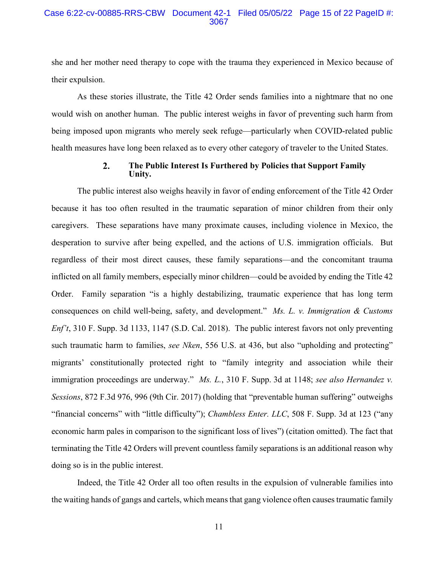#### Case 6:22-cv-00885-RRS-CBW Document 42-1 Filed 05/05/22 Page 15 of 22 PageID #: 3067

she and her mother need therapy to cope with the trauma they experienced in Mexico because of their expulsion.

As these stories illustrate, the Title 42 Order sends families into a nightmare that no one would wish on another human. The public interest weighs in favor of preventing such harm from being imposed upon migrants who merely seek refuge—particularly when COVID-related public health measures have long been relaxed as to every other category of traveler to the United States.

#### **The Public Interest Is Furthered by Policies that Support Family**   $2.$ **Unity.**

The public interest also weighs heavily in favor of ending enforcement of the Title 42 Order because it has too often resulted in the traumatic separation of minor children from their only caregivers. These separations have many proximate causes, including violence in Mexico, the desperation to survive after being expelled, and the actions of U.S. immigration officials. But regardless of their most direct causes, these family separations—and the concomitant trauma inflicted on all family members, especially minor children—could be avoided by ending the Title 42 Order. Family separation "is a highly destabilizing, traumatic experience that has long term consequences on child well-being, safety, and development." *Ms. L. v. Immigration & Customs Enf't*, 310 F. Supp. 3d 1133, 1147 (S.D. Cal. 2018). The public interest favors not only preventing such traumatic harm to families, *see Nken*, 556 U.S. at 436, but also "upholding and protecting" migrants' constitutionally protected right to "family integrity and association while their immigration proceedings are underway." *Ms. L.*, 310 F. Supp. 3d at 1148; *see also Hernandez v. Sessions*, 872 F.3d 976, 996 (9th Cir. 2017) (holding that "preventable human suffering" outweighs "financial concerns" with "little difficulty"); *Chambless Enter. LLC*, 508 F. Supp. 3d at 123 ("any economic harm pales in comparison to the significant loss of lives") (citation omitted). The fact that terminating the Title 42 Orders will prevent countless family separations is an additional reason why doing so is in the public interest.

Indeed, the Title 42 Order all too often results in the expulsion of vulnerable families into the waiting hands of gangs and cartels, which means that gang violence often causes traumatic family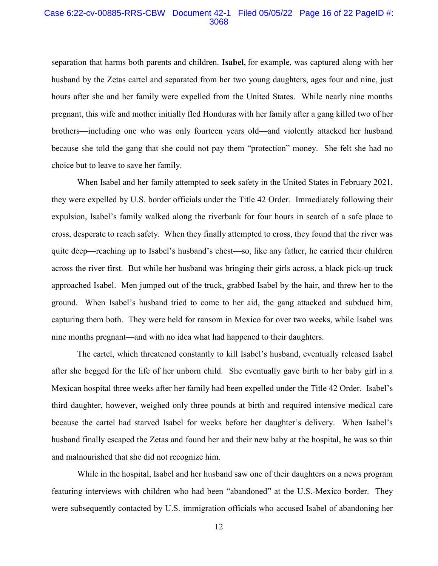#### Case 6:22-cv-00885-RRS-CBW Document 42-1 Filed 05/05/22 Page 16 of 22 PageID #: 3068

separation that harms both parents and children. **Isabel**, for example, was captured along with her husband by the Zetas cartel and separated from her two young daughters, ages four and nine, just hours after she and her family were expelled from the United States. While nearly nine months pregnant, this wife and mother initially fled Honduras with her family after a gang killed two of her brothers—including one who was only fourteen years old—and violently attacked her husband because she told the gang that she could not pay them "protection" money. She felt she had no choice but to leave to save her family.

When Isabel and her family attempted to seek safety in the United States in February 2021, they were expelled by U.S. border officials under the Title 42 Order. Immediately following their expulsion, Isabel's family walked along the riverbank for four hours in search of a safe place to cross, desperate to reach safety. When they finally attempted to cross, they found that the river was quite deep—reaching up to Isabel's husband's chest—so, like any father, he carried their children across the river first. But while her husband was bringing their girls across, a black pick-up truck approached Isabel. Men jumped out of the truck, grabbed Isabel by the hair, and threw her to the ground. When Isabel's husband tried to come to her aid, the gang attacked and subdued him, capturing them both. They were held for ransom in Mexico for over two weeks, while Isabel was nine months pregnant—and with no idea what had happened to their daughters.

The cartel, which threatened constantly to kill Isabel's husband, eventually released Isabel after she begged for the life of her unborn child. She eventually gave birth to her baby girl in a Mexican hospital three weeks after her family had been expelled under the Title 42 Order. Isabel's third daughter, however, weighed only three pounds at birth and required intensive medical care because the cartel had starved Isabel for weeks before her daughter's delivery. When Isabel's husband finally escaped the Zetas and found her and their new baby at the hospital, he was so thin and malnourished that she did not recognize him.

While in the hospital, Isabel and her husband saw one of their daughters on a news program featuring interviews with children who had been "abandoned" at the U.S.-Mexico border. They were subsequently contacted by U.S. immigration officials who accused Isabel of abandoning her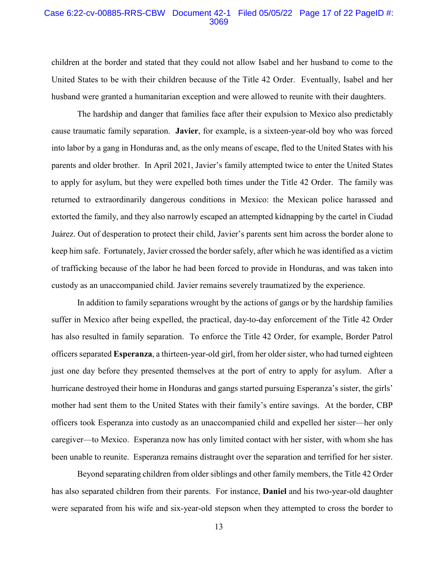#### Case 6:22-cv-00885-RRS-CBW Document 42-1 Filed 05/05/22 Page 17 of 22 PageID #: 3069

children at the border and stated that they could not allow Isabel and her husband to come to the United States to be with their children because of the Title 42 Order. Eventually, Isabel and her husband were granted a humanitarian exception and were allowed to reunite with their daughters.

The hardship and danger that families face after their expulsion to Mexico also predictably cause traumatic family separation. **Javier**, for example, is a sixteen-year-old boy who was forced into labor by a gang in Honduras and, as the only means of escape, fled to the United States with his parents and older brother. In April 2021, Javier's family attempted twice to enter the United States to apply for asylum, but they were expelled both times under the Title 42 Order. The family was returned to extraordinarily dangerous conditions in Mexico: the Mexican police harassed and extorted the family, and they also narrowly escaped an attempted kidnapping by the cartel in Ciudad Juárez. Out of desperation to protect their child, Javier's parents sent him across the border alone to keep him safe. Fortunately, Javier crossed the border safely, after which he was identified as a victim of trafficking because of the labor he had been forced to provide in Honduras, and was taken into custody as an unaccompanied child. Javier remains severely traumatized by the experience.

In addition to family separations wrought by the actions of gangs or by the hardship families suffer in Mexico after being expelled, the practical, day-to-day enforcement of the Title 42 Order has also resulted in family separation. To enforce the Title 42 Order, for example, Border Patrol officers separated **Esperanza**, a thirteen-year-old girl, from her older sister, who had turned eighteen just one day before they presented themselves at the port of entry to apply for asylum. After a hurricane destroyed their home in Honduras and gangs started pursuing Esperanza's sister, the girls' mother had sent them to the United States with their family's entire savings. At the border, CBP officers took Esperanza into custody as an unaccompanied child and expelled her sister—her only caregiver—to Mexico. Esperanza now has only limited contact with her sister, with whom she has been unable to reunite. Esperanza remains distraught over the separation and terrified for her sister.

Beyond separating children from older siblings and other family members, the Title 42 Order has also separated children from their parents. For instance, **Daniel** and his two-year-old daughter were separated from his wife and six-year-old stepson when they attempted to cross the border to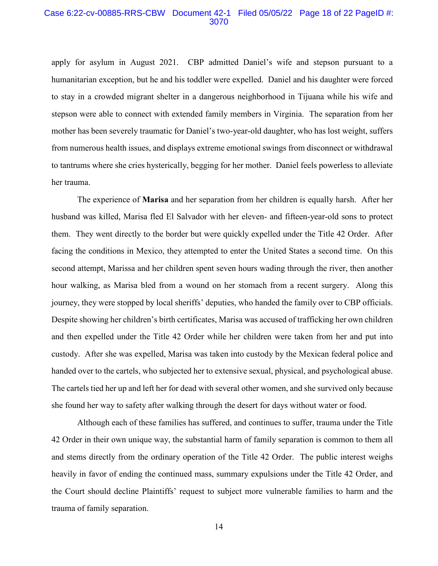#### Case 6:22-cv-00885-RRS-CBW Document 42-1 Filed 05/05/22 Page 18 of 22 PageID #: 3070

apply for asylum in August 2021. CBP admitted Daniel's wife and stepson pursuant to a humanitarian exception, but he and his toddler were expelled. Daniel and his daughter were forced to stay in a crowded migrant shelter in a dangerous neighborhood in Tijuana while his wife and stepson were able to connect with extended family members in Virginia. The separation from her mother has been severely traumatic for Daniel's two-year-old daughter, who has lost weight, suffers from numerous health issues, and displays extreme emotional swings from disconnect or withdrawal to tantrums where she cries hysterically, begging for her mother. Daniel feels powerless to alleviate her trauma.

The experience of **Marisa** and her separation from her children is equally harsh. After her husband was killed, Marisa fled El Salvador with her eleven- and fifteen-year-old sons to protect them. They went directly to the border but were quickly expelled under the Title 42 Order. After facing the conditions in Mexico, they attempted to enter the United States a second time. On this second attempt, Marissa and her children spent seven hours wading through the river, then another hour walking, as Marisa bled from a wound on her stomach from a recent surgery. Along this journey, they were stopped by local sheriffs' deputies, who handed the family over to CBP officials. Despite showing her children's birth certificates, Marisa was accused of trafficking her own children and then expelled under the Title 42 Order while her children were taken from her and put into custody. After she was expelled, Marisa was taken into custody by the Mexican federal police and handed over to the cartels, who subjected her to extensive sexual, physical, and psychological abuse. The cartels tied her up and left her for dead with several other women, and she survived only because she found her way to safety after walking through the desert for days without water or food.

Although each of these families has suffered, and continues to suffer, trauma under the Title 42 Order in their own unique way, the substantial harm of family separation is common to them all and stems directly from the ordinary operation of the Title 42 Order. The public interest weighs heavily in favor of ending the continued mass, summary expulsions under the Title 42 Order, and the Court should decline Plaintiffs' request to subject more vulnerable families to harm and the trauma of family separation.

14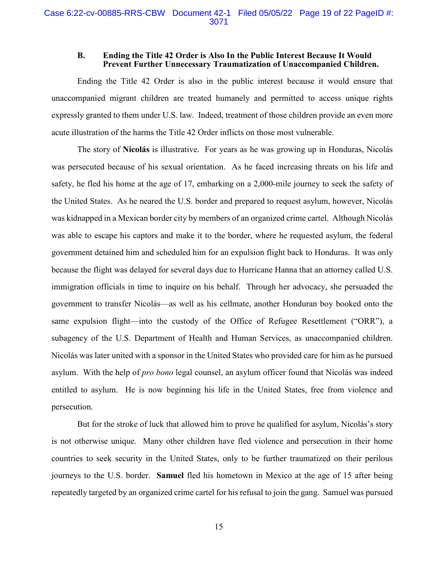#### **B. Ending the Title 42 Order is Also In the Public Interest Because It Would Prevent Further Unnecessary Traumatization of Unaccompanied Children.**

<span id="page-18-0"></span>Ending the Title 42 Order is also in the public interest because it would ensure that unaccompanied migrant children are treated humanely and permitted to access unique rights expressly granted to them under U.S. law. Indeed, treatment of those children provide an even more acute illustration of the harms the Title 42 Order inflicts on those most vulnerable.

The story of **Nicolás** is illustrative. For years as he was growing up in Honduras, Nicolás was persecuted because of his sexual orientation. As he faced increasing threats on his life and safety, he fled his home at the age of 17, embarking on a 2,000-mile journey to seek the safety of the United States. As he neared the U.S. border and prepared to request asylum, however, Nicolás was kidnapped in a Mexican border city by members of an organized crime cartel. Although Nicolás was able to escape his captors and make it to the border, where he requested asylum, the federal government detained him and scheduled him for an expulsion flight back to Honduras. It was only because the flight was delayed for several days due to Hurricane Hanna that an attorney called U.S. immigration officials in time to inquire on his behalf. Through her advocacy, she persuaded the government to transfer Nicolás—as well as his cellmate, another Honduran boy booked onto the same expulsion flight—into the custody of the Office of Refugee Resettlement ("ORR"), a subagency of the U.S. Department of Health and Human Services, as unaccompanied children. Nicolás was later united with a sponsor in the United States who provided care for him as he pursued asylum. With the help of *pro bono* legal counsel, an asylum officer found that Nicolás was indeed entitled to asylum. He is now beginning his life in the United States, free from violence and persecution.

But for the stroke of luck that allowed him to prove he qualified for asylum, Nicolás's story is not otherwise unique. Many other children have fled violence and persecution in their home countries to seek security in the United States, only to be further traumatized on their perilous journeys to the U.S. border. **Samuel** fled his hometown in Mexico at the age of 15 after being repeatedly targeted by an organized crime cartel for his refusal to join the gang. Samuel was pursued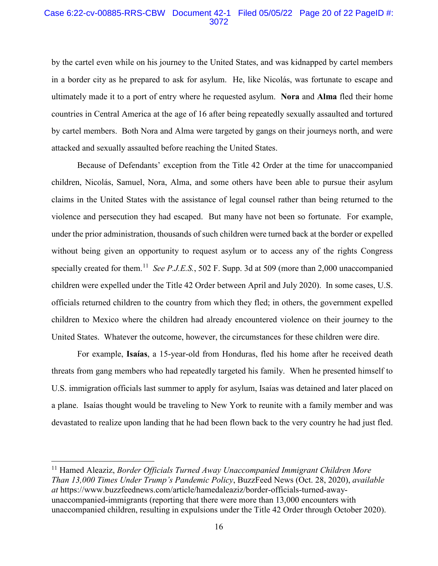#### Case 6:22-cv-00885-RRS-CBW Document 42-1 Filed 05/05/22 Page 20 of 22 PageID #: 3072

by the cartel even while on his journey to the United States, and was kidnapped by cartel members in a border city as he prepared to ask for asylum. He, like Nicolás, was fortunate to escape and ultimately made it to a port of entry where he requested asylum. **Nora** and **Alma** fled their home countries in Central America at the age of 16 after being repeatedly sexually assaulted and tortured by cartel members. Both Nora and Alma were targeted by gangs on their journeys north, and were attacked and sexually assaulted before reaching the United States.

Because of Defendants' exception from the Title 42 Order at the time for unaccompanied children, Nicolás, Samuel, Nora, Alma, and some others have been able to pursue their asylum claims in the United States with the assistance of legal counsel rather than being returned to the violence and persecution they had escaped. But many have not been so fortunate. For example, under the prior administration, thousands of such children were turned back at the border or expelled without being given an opportunity to request asylum or to access any of the rights Congress specially created for them.[11](#page-19-0) *See P.J.E.S.*, 502 F. Supp. 3d at 509 (more than 2,000 unaccompanied children were expelled under the Title 42 Order between April and July 2020). In some cases, U.S. officials returned children to the country from which they fled; in others, the government expelled children to Mexico where the children had already encountered violence on their journey to the United States. Whatever the outcome, however, the circumstances for these children were dire.

For example, **Isaías**, a 15-year-old from Honduras, fled his home after he received death threats from gang members who had repeatedly targeted his family. When he presented himself to U.S. immigration officials last summer to apply for asylum, Isaías was detained and later placed on a plane. Isaías thought would be traveling to New York to reunite with a family member and was devastated to realize upon landing that he had been flown back to the very country he had just fled.

<span id="page-19-0"></span> 11 Hamed Aleaziz, *Border Officials Turned Away Unaccompanied Immigrant Children More Than 13,000 Times Under Trump's Pandemic Policy*, BuzzFeed News (Oct. 28, 2020), *available at* https://www.buzzfeednews.com/article/hamedaleaziz/border-officials-turned-awayunaccompanied-immigrants (reporting that there were more than 13,000 encounters with unaccompanied children, resulting in expulsions under the Title 42 Order through October 2020).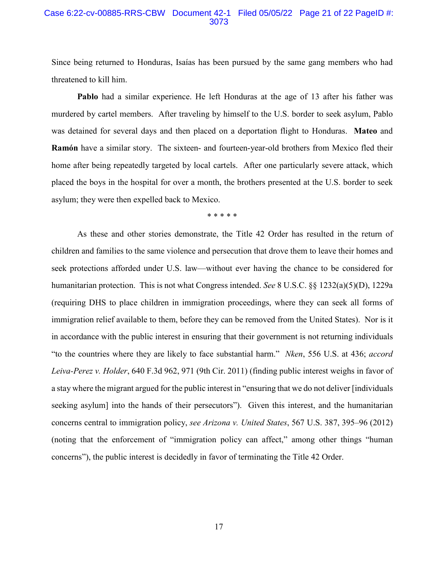#### Case 6:22-cv-00885-RRS-CBW Document 42-1 Filed 05/05/22 Page 21 of 22 PageID #: 3073

Since being returned to Honduras, Isaías has been pursued by the same gang members who had threatened to kill him.

**Pablo** had a similar experience. He left Honduras at the age of 13 after his father was murdered by cartel members. After traveling by himself to the U.S. border to seek asylum, Pablo was detained for several days and then placed on a deportation flight to Honduras. **Mateo** and **Ramón** have a similar story. The sixteen- and fourteen-year-old brothers from Mexico fled their home after being repeatedly targeted by local cartels. After one particularly severe attack, which placed the boys in the hospital for over a month, the brothers presented at the U.S. border to seek asylum; they were then expelled back to Mexico.

\* \* \* \* \*

As these and other stories demonstrate, the Title 42 Order has resulted in the return of children and families to the same violence and persecution that drove them to leave their homes and seek protections afforded under U.S. law—without ever having the chance to be considered for humanitarian protection. This is not what Congress intended. *See* 8 U.S.C. §§ 1232(a)(5)(D), 1229a (requiring DHS to place children in immigration proceedings, where they can seek all forms of immigration relief available to them, before they can be removed from the United States). Nor is it in accordance with the public interest in ensuring that their government is not returning individuals "to the countries where they are likely to face substantial harm." *Nken*, 556 U.S. at 436; *accord Leiva-Perez v. Holder*, 640 F.3d 962, 971 (9th Cir. 2011) (finding public interest weighs in favor of a stay where the migrant argued for the public interest in "ensuring that we do not deliver [individuals seeking asylum] into the hands of their persecutors"). Given this interest, and the humanitarian concerns central to immigration policy, *see Arizona v. United States*, 567 U.S. 387, 395–96 (2012) (noting that the enforcement of "immigration policy can affect," among other things "human concerns"), the public interest is decidedly in favor of terminating the Title 42 Order.